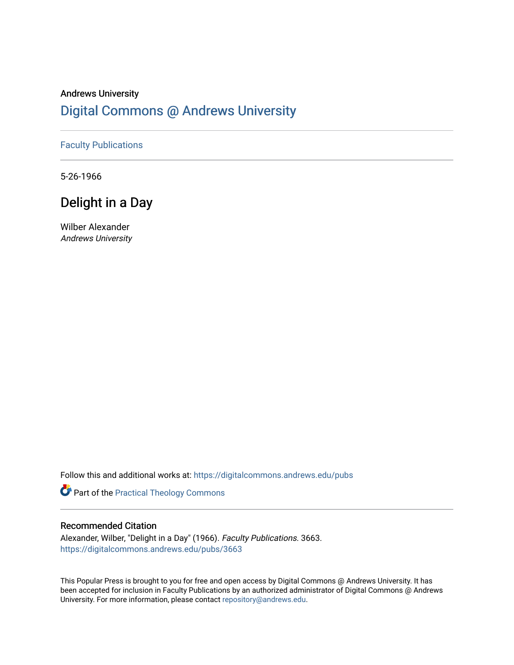## Andrews University [Digital Commons @ Andrews University](https://digitalcommons.andrews.edu/)

### [Faculty Publications](https://digitalcommons.andrews.edu/pubs)

5-26-1966

# Delight in a Day

Wilber Alexander Andrews University

Follow this and additional works at: [https://digitalcommons.andrews.edu/pubs](https://digitalcommons.andrews.edu/pubs?utm_source=digitalcommons.andrews.edu%2Fpubs%2F3663&utm_medium=PDF&utm_campaign=PDFCoverPages) 

Part of the [Practical Theology Commons](http://network.bepress.com/hgg/discipline/1186?utm_source=digitalcommons.andrews.edu%2Fpubs%2F3663&utm_medium=PDF&utm_campaign=PDFCoverPages)

### Recommended Citation

Alexander, Wilber, "Delight in a Day" (1966). Faculty Publications. 3663. [https://digitalcommons.andrews.edu/pubs/3663](https://digitalcommons.andrews.edu/pubs/3663?utm_source=digitalcommons.andrews.edu%2Fpubs%2F3663&utm_medium=PDF&utm_campaign=PDFCoverPages) 

This Popular Press is brought to you for free and open access by Digital Commons @ Andrews University. It has been accepted for inclusion in Faculty Publications by an authorized administrator of Digital Commons @ Andrews University. For more information, please contact [repository@andrews.edu](mailto:repository@andrews.edu).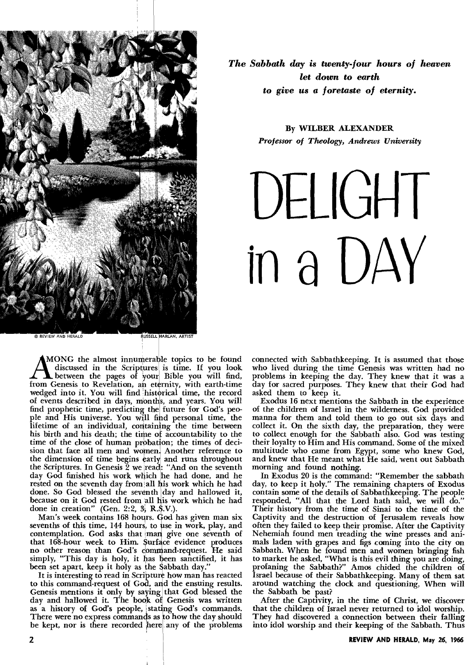

*The Sabbath day is twenty-four hours of heaven let down to earth to give us a foretaste of eternity.* 

> **By WILBER ALEXANDER**  *Professor of Theology, Andrews University*

**DELIGHT in a DAY** 

**AMONG** the almost innumerable topics to be found discussed in the Scriptures is time. If you look between the pages of your Bible you will find, from Genesis to Revelation, an eternity, with earth-time MONG the almost innumerable topics to be found discussed in the Scriptures is time. If you look between the pages of your Bible you will find, wedged into it. You will find historical time, the record of events described in days, months, and years. You will find prophetic time, predicting the future for God's people and His universe. You will find personal time, the lifetime of an individual, containing the time between his birth and his death; the time of accountability to the time of the close of human probation; the times of decision that face all men and women. Another reference to the dimension of time begins early and runs throughout the Scriptures. In Genesis 2 we read: "And on the seventh day God finished his work which he had done, and he rested on the seventh day from all his work which he had done. So God blessed the seventh day and hallowed it, because on it God rested from all his work which he had done in creation" (Gen. 2:2,  $3\frac{1}{2}$ , R.S.V.).

Man's week contains 168 hours. God has given man six sevenths of this time, 144 hours, to use in work, play, and contemplation. God asks that man give one seventh of that 168-hour week to Him. Surface evidence produces no other reason than God's dem and-request. He said simply, "This day is holy, it has been sanctified, it has been set apart, keep it holy as the Sabbath day."

It is interesting to read in Scripture how man has reacted to this command-request of God, and the ensuing results. Genesis mentions it only by saying that God blessed the day and hallowed it. The book of Genesis was written as a history of God's people, stating God's commands. There were no express commands as to how the day should be kept, nor is there recorded here any of the problems

connected with Sabbathkeeping. It is assumed that those who lived during the time Genesis was written had no problems in keeping the day. They knew that it was a day for sacred purposes. They knew that their God had asked them to keep it.

Exodus 16 next mentions the Sabbath in the experience of the children of Israel in the wilderness. God provided manna for them and told them to go out six days and collect it. On the sixth day, the preparation, they were to collect enough for the Sabbath also. God was testing their loyalty to Him and His command. Some of the mixed multitude who came from Egypt, some who knew God, and knew that He meant what He said, went out Sabbath morning and found **nothing.** 

In Exodus 20 is the command: "Remember the sabbath day, to keep it holy." The remaining chapters of Exodus contain some of the details of Sabbathkeeping. The people responded, "All that the Lord hath said, we will do." Their history from the time of Sinai to the time of the Captivity and the destruction of Jerusalem reveals how often they failed to keep their promise. After the Captivity Nehemiah found men treading the wine presses and animals laden with grapes and figs coming into the city on Sabbath. When he found men and women bringing fish to market he asked, "What is this evil thing you are doing, profaning the Sabbath?" Amos chided the children of Israel because of their Sabbathkeeping. Many of them sat around watching the clock and questioning, When will the Sabbath be past?

After the Captivity, in the time of Christ, we discover that the children of Israel never returned to idol worship. They had discovered a connection between their falling into idol worship and their keeping of the Sabbath. Thus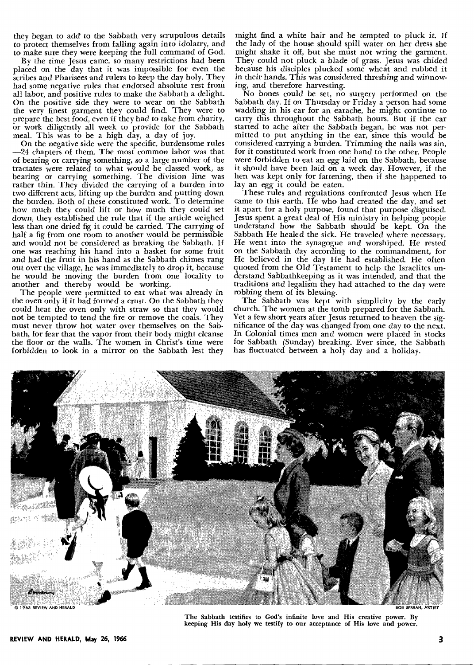they began to add to the Sabbath very scrupulous details to protect themselves from falling again into idolatry, and to make sure they were keeping the full command of God.

By the time Jesus came, so many restrictions had been placed on the day that it was impossible for even the scribes and Pharisees and rulers to keep the day holy. They had some negative rules that endorsed absolute rest from all labor, and positive rules to make the Sabbath a delight. On the positive side they were to wear on the Sabbath the very finest garment they could find. They were to prepare the best food, even if they had to take from charity, or work diligently all week to provide for the Sabbath meal. This was to be a high  $d$ ay, a day of joy.

On the negative side were the specific, burdensome rules —24 chapters of them. The most common labor was that of bearing or carrying something, so a large number of the tractates were related to what would be classed work, as bearing or carrying something. The division line was rather thin. They divided the carrying of a burden into two different acts, lifting up the burden and putting down the burden. Both of these constituted work. To determine how much they could lift or how much they could set down, they established the rule that if the article weighed less than one dried fig it could be carried. The carrying of half a fig from one room to another would be permissible and would not be considered as breaking the Sabbath. If one was reaching his hand into a basket for some fruit and had the fruit in his hand as the Sabbath chimes rang out over the village, he was immediately to drop it, because he would be moving the burden from one locality to another and thereby would be working.

The people were permitted to eat what was already in the oven only if it had formed a crust. On the Sabbath they could heat the oven only with straw so that they would not be tempted to tend the fire or remove the coals. They must never throw hot water over themselves on the Sabbath, for fear that the vapor from their body might cleanse the floor or the walls. The women in Christ's time were forbidden to look in a mirror on the Sabbath lest they

might find a white hair and be tempted to pluck it. If the lady of the house should spill water on her dress she might shake it off, but she must not wring the garment. They could not pluck a blade of grass. Jesus was chided because his disciples plucked some wheat and rubbed it in their hands. This was considered threshing and winnowing, and therefore harvesting.

No bones could be set, no surgery performed on the Sabbath day. If on Thursday or Friday a person had some wadding in his ear for an earache, he might continue to carry this throughout the Sabbath hours. But if the ear started to ache after the Sabbath began, he was not permitted to put anything in the ear, since this would be considered carrying a burden. Trimming the nails was sin, for it constituted work from one hand to the other. People were forbidden to eat an egg laid on the Sabbath, because it should have been laid on a week day. However, if the hen was kept only for fattening, then if she happened to lay an egg it could be eaten.

These rules and regulations confronted Jesus when He came to this earth. He who had created the day, and set it apart for a holy purpose, found that purpose disguised. Jesus spent a great deal of His ministry in helping people understand how the Sabbath should be kept. On the Sabbath He healed the sick. He traveled where necessary. He went into the synagogue and worshiped. He rested on the Sabbath day according to the commandment, for He believed in the day He had established. He often quoted from the Old Testament to help the Israelites understand Sabbathkeeping as it was intended, and that the traditions and legalism they had attached to the day were robbing them of its blessing.

The Sabbath was kept with simplicity by the early church. The women at the tomb prepared for the Sabbath. Yet a few short years after Jesus returned to heaven the significance of the day was changed from one day to the next. In Colonial times men and women were placed in stocks for Sabbath (Sunday) breaking. Ever since, the Sabbath has fluctuated between a holy day and a holiday.



The Sabbath testifies to God's infinite love and His creative power. By keeping His day holy we testify to our acceptance of His love and power.